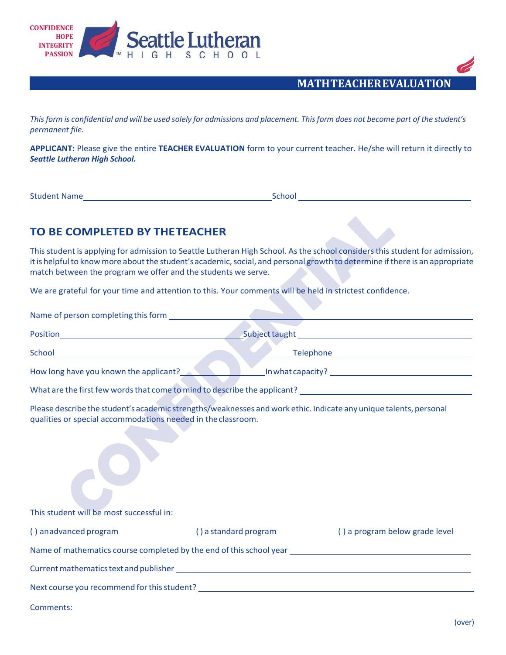



This form is confidential and will be used solely for admissions and placement. This form does not become part of the student's *permanent file.*

**APPLICANT:** Please give the entire **TEACHER EVALUATION** form to your current teacher. He/she will return it directly to *Seattle Lutheran High School.*

Student Name School School School School School School School School School School School School School School

## **TO BE COMPLETED BY THETEACHER**

Name of person completingthisform

This student is applying for admission to Seattle Lutheran High School. Asthe school considersthis student for admission, it is helpful to know more about the student's academic, social, and personal growth to determine if there is an appropriate match between the program we offer and the students we serve.

We are grateful for your time and attention to this. Your comments will be held in strictest confidence.

| INAME OF DETSOIL COMPLEMENTS FOR HIS LOT IT                                                              |                                                                                                                      |
|----------------------------------------------------------------------------------------------------------|----------------------------------------------------------------------------------------------------------------------|
|                                                                                                          |                                                                                                                      |
|                                                                                                          |                                                                                                                      |
|                                                                                                          | How long have you known the applicant?<br>Many Languard Constantine Constanting Constraint Property 2014, 1997, 1998 |
|                                                                                                          |                                                                                                                      |
| qualities or special accommodations needed in the classroom.<br>This student will be most successful in: | Please describe the student's academic strengths/weaknesses and work ethic. Indicate any unique talents, personal    |
| () anadvanced program                                                                                    | () a standard program<br>() a program below grade level                                                              |
|                                                                                                          |                                                                                                                      |
|                                                                                                          |                                                                                                                      |
|                                                                                                          |                                                                                                                      |

Comments: